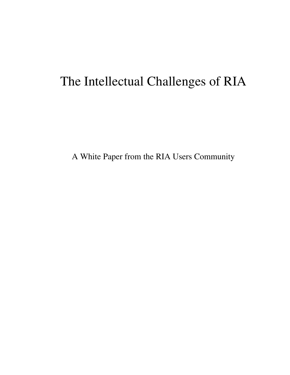# The Intellectual Challenges of RIA

A White Paper from the RIA Users Community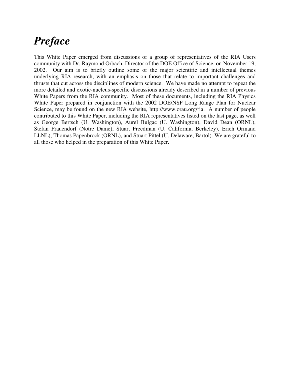### *Preface*

This White Paper emerged from discussions of a group of representatives of the RIA Users community with Dr. Raymond Orbach, Director of the DOE Office of Science, on November 19, 2002. Our aim is to briefly outline some of the major scientific and intellectual themes underlying RIA research, with an emphasis on those that relate to important challenges and thrusts that cut across the disciplines of modern science. We have made no attempt to repeat the more detailed and exotic-nucleus-specific discussions already described in a number of previous White Papers from the RIA community. Most of these documents, including the RIA Physics White Paper prepared in conjunction with the 2002 DOE/NSF Long Range Plan for Nuclear Science, may be found on the new RIA website, http://www.orau.org/ria. A number of people contributed to this White Paper, including the RIA representatives listed on the last page, as well as George Bertsch (U. Washington), Aurel Bulgac (U. Washington), David Dean (ORNL), Stefan Frauendorf (Notre Dame), Stuart Freedman (U. California, Berkeley), Erich Ormand LLNL), Thomas Papenbrock (ORNL), and Stuart Pittel (U. Delaware, Bartol). We are grateful to all those who helped in the preparation of this White Paper.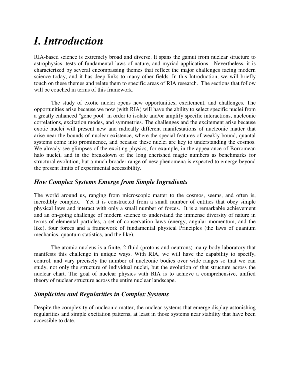# *I. Introduction*

RIA-based science is extremely broad and diverse. It spans the gamut from nuclear structure to astrophysics, tests of fundamental laws of nature, and myriad applications. Nevertheless, it is characterized by several encompassing themes that reflect the major challenges facing modern science today, and it has deep links to many other fields. In this Introduction, we will briefly touch on these themes and relate them to specific areas of RIA research. The sections that follow will be couched in terms of this framework.

The study of exotic nuclei opens new opportunities, excitement, and challenges. The opportunities arise because we now (with RIA) will have the ability to select specific nuclei from a greatly enhanced "gene pool" in order to isolate and/or amplify specific interactions, nucleonic correlations, excitation modes, and symmetries. The challenges and the excitement arise because exotic nuclei will present new and radically different manifestations of nucleonic matter that arise near the bounds of nuclear existence, where the special features of weakly bound, quantal systems come into prominence, and because these nuclei are key to understanding the cosmos. We already see glimpses of the exciting physics, for example, in the appearance of Borromean halo nuclei, and in the breakdown of the long cherished magic numbers as benchmarks for structural evolution, but a much broader range of new phenomena is expected to emerge beyond the present limits of experimental accessibility.

#### *How Complex Systems Emerge from Simple Ingredients*

The world around us, ranging from microscopic matter to the cosmos, seems, and often is, incredibly complex. Yet it is constructed from a small number of entities that obey simple physical laws and interact with only a small number of forces. It is a remarkable achievement and an on-going challenge of modern science to understand the immense diversity of nature in terms of elemental particles, a set of conservation laws (energy, angular momentum, and the like), four forces and a framework of fundamental physical Principles (the laws of quantum mechanics, quantum statistics, and the like).

The atomic nucleus is a finite, 2-fluid (protons and neutrons) many-body laboratory that manifests this challenge in unique ways. With RIA, we will have the capability to specify, control, and vary precisely the number of nucleonic bodies over wide ranges so that we can study, not only the structure of individual nuclei, but the evolution of that structure across the nuclear chart. The goal of nuclear physics with RIA is to achieve a comprehensive, unified theory of nuclear structure across the entire nuclear landscape.

#### *Simplicities and Regularities in Complex Systems*

Despite the complexity of nucleonic matter, the nuclear systems that emerge display astonishing regularities and simple excitation patterns, at least in those systems near stability that have been accessible to date.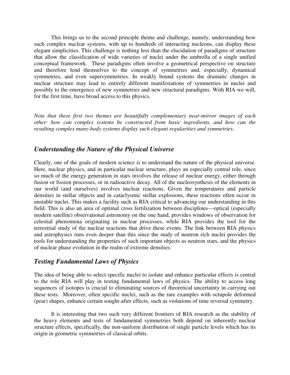This brings us to the second principle theme and challenge, namely, understanding how such complex nuclear systems, with up to hundreds of interacting nucleons, can display these elegant simplicities. This challenge is nothing less than the elucidation of paradigms of structure that allow the classification of wide varieties of nuclei under the umbrella of a single unified conceptual framework. These paradigms often involve a geometrical perspective on structure and therefore lend themselves to the concept of symmetries and, especially, dynamical symmetries, and even supersymmetries. In weakly bound systems the dramatic changes in nuclear structure may lead to entirely different manifestations of symmetries in nuclei and possibly to the emergence of new symmetries and new structural paradigms. With RIA we will, for the first time, have broad access to this physics.

*Note that these first two themes are beautifully complementary near-mirror images of each other: how can complex systems be constructed from basic ingredients, and how can the resulting complex many-body systems display such elegant regularities and symmetries.* 

#### *Understanding the Nature of the Physical Universe*

Clearly, one of the goals of modern science is to understand the nature of the physical universe. Here, nuclear physics, and in particular nuclear structure, plays an especially central role, since so much of the energy generation in stars involves the release of nuclear energy, either through fusion or fission processes, or in radioactive decay. All of the nucleosynthesis of the elements in our world (and ourselves) involves nuclear reactions. Given the temperatures and particle densities in stellar objects and in cataclysmic stellar explosions, these reactions often occur in unstable nuclei. This makes a facility such as RIA critical to advancing our understanding in this field. This is also an area of optimal cross fertilization between disciplines—optical (especially modern satellite) observational astronomy on the one hand, provides windows of observation for celestial phenomena originating in nuclear processes, while RIA provides the tool for the terrestrial study of the nuclear reactions that drive these events. The link between RIA physics and astrophysics runs even deeper than this since the study of neutron rich nuclei provides the tools for understanding the properties of such important objects as neutron stars, and the physics of nuclear phase evolution in the realm of extreme densities.

#### *Testing Fundamental Laws of Physics*

The idea of being able to select specific nuclei to isolate and enhance particular effects is central to the role RIA will play in testing fundamental laws of physics. The ability to access long sequences of isotopes is crucial to eliminating sources of theoretical uncertainty in carrying out these tests. Moreover, often specific nuclei, such as the rare examples with octupole deformed (pear) shapes, enhance certain sought-after effects, such as violations of time reversal symmetry.

It is interesting that two such very different frontiers of RIA research as the stability of the heavy elements and tests of fundamental symmetries both depend on inherently nuclear structure effects, specifically, the non-uniform distribution of single particle levels which has its origin in geometric symmetries of classical orbits.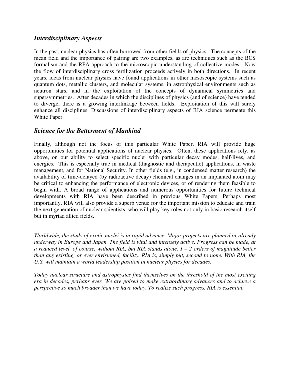#### *Interdisciplinary Aspects*

In the past, nuclear physics has often borrowed from other fields of physics. The concepts of the mean field and the importance of pairing are two examples, as are techniques such as the BCS formalism and the RPA approach to the microscopic understanding of collective modes. Now the flow of interdisciplinary cross fertilization proceeds actively in both directions. In recent years, ideas from nuclear physics have found applications in other mesoscopic systems such as quantum dots, metallic clusters, and molecular systems, in astrophysical environments such as neutron stars, and in the exploitation of the concepts of dynamical symmetries and supersymmetries. After decades in which the disciplines of physics (and of science) have tended to diverge, there is a growing interlinkage between fields. Exploitation of this will surely enhance all disciplines. Discussions of interdisciplinary aspects of RIA science permeate this White Paper.

#### *Science for the Betterment of Mankind*

Finally, although not the focus of this particular White Paper, RIA will provide huge opportunities for potential applications of nuclear physics. Often, these applications rely, as above, on our ability to select specific nuclei with particular decay modes, half-lives, and energies. This is especially true in medical (diagnostic and therapeutic) applications, in waste management, and for National Security. In other fields (e.g., in condensed matter research) the availability of time-delayed (by radioactive decay) chemical changes in an implanted atom may be critical to enhancing the performance of electronic devices, or of rendering them feasible to begin with. A broad range of applications and numerous opportunities for future technical developments with RIA have been described in previous White Papers. Perhaps most importantly, RIA will also provide a superb venue for the important mission to educate and train the next generation of nuclear scientists, who will play key roles not only in basic research itself but in myriad allied fields.

*Worldwide, the study of exotic nuclei is in rapid advance. Major projects are planned or already underway in Europe and Japan. The field is vital and intensely active. Progress can be made, at a reduced level, of course, without RIA, but RIA stands alone, 1 – 2 orders of magnitude better than any existing, or ever envisioned, facility. RIA is, simply put, second to none. With RIA, the U.S. will maintain a world leadership position in nuclear physics for decades.* 

*Today nuclear structure and astrophysics find themselves on the threshold of the most exciting era in decades, perhaps ever. We are poised to make extraordinary advances and to achieve a perspective so much broader than we have today. To realize such progress, RIA is essential.*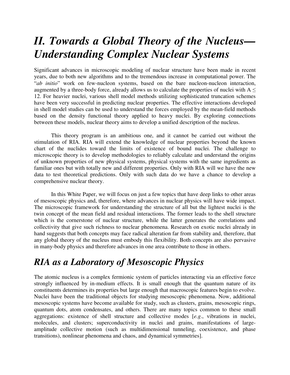## *II. Towards a Global Theory of the Nucleus— Understanding Complex Nuclear Systems*

Significant advances in microscopic modeling of nuclear structure have been made in recent years, due to both new algorithms and to the tremendous increase in computational power. The "*ab initio*" work on few-nucleon systems, based on the bare nucleon-nucleon interaction, augmented by a three-body force, already allows us to calculate the properties of nuclei with  $A \leq$ 12. For heavier nuclei, various shell model methods utilizing sophisticated truncation schemes have been very successful in predicting nuclear properties. The effective interactions developed in shell model studies can be used to understand the forces employed by the mean-field methods based on the density functional theory applied to heavy nuclei. By exploring connections between these models, nuclear theory aims to develop a unified description of the nucleus.

This theory program is an ambitious one, and it cannot be carried out without the stimulation of RIA. RIA will extend the knowledge of nuclear properties beyond the known chart of the nuclides toward the limits of existence of bound nuclei. The challenge to microscopic theory is to develop methodologies to reliably calculate and understand the origins of unknown properties of new physical systems, physical systems with the same ingredients as familiar ones but with totally new and different properties. Only with RIA will we have the new data to test theoretical predictions. Only with such data do we have a chance to develop a comprehensive nuclear theory.

In this White Paper, we will focus on just a few topics that have deep links to other areas of mesoscopic physics and, therefore, where advances in nuclear physics will have wide impact. The microscopic framework for understanding the structure of all but the lightest nuclei is the twin concept of the mean field and residual interactions. The former leads to the shell structure which is the cornerstone of nuclear structure, while the latter generates the correlations and collectivity that give such richness to nuclear phenomena. Research on exotic nuclei already in hand suggests that both concepts may face radical alteration far from stability and, therefore, that any global theory of the nucleus must embody this flexibility. Both concepts are also pervasive in many-body physics and therefore advances in one area contribute to those in others.

### *RIA as a Laboratory of Mesoscopic Physics*

The atomic nucleus is a complex fermionic system of particles interacting via an effective force strongly influenced by in-medium effects. It is small enough that the quantum nature of its constituents determines its properties but large enough that macroscopic features begin to evolve. Nuclei have been the traditional objects for studying mesoscopic phenomena. Now, additional mesoscopic systems have become available for study, such as clusters, grains, mesoscopic rings, quantum dots, atom condensates, and others. There are many topics common to these small aggregations: existence of shell structure and collective modes [*e.g*., vibrations in nuclei, molecules, and clusters; superconductivity in nuclei and grains, manifestations of largeamplitude collective motion (such as multidimensional tunneling, coexistence, and phase transitions), nonlinear phenomena and chaos, and dynamical symmetries].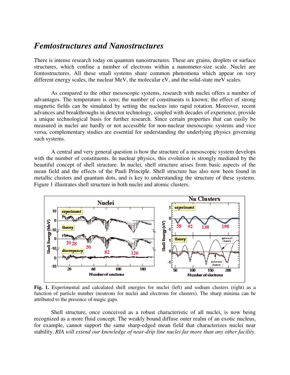#### *Femtostructures and Nanostructures*

There is intense research today on quantum nanostructures. These are grains, droplets or surface structures, which confine a number of electrons within a nanometer-size scale. Nuclei are femtostructures. All these small systems share common phenomena which appear on very different energy scales, the nuclear MeV, the molecular eV, and the solid-state meV scales.

As compared to the other mesoscopic systems, research with nuclei offers a number of advantages. The temperature is zero; the number of constituents is known; the effect of strong magnetic fields can be simulated by setting the nucleus into rapid rotation. Moreover, recent advances and breakthroughs in detector technology, coupled with decades of experience, provide a unique technological basis for further research. Since certain properties that can easily be measured in nuclei are hardly or not accessible for non-nuclear mesoscopic systems and vice versa, complementary studies are essential for understanding the underlying physics governing such systems.

A central and very general question is how the structure of a mesoscopic system develops with the number of constituents. In nuclear physics, this evolution is strongly mediated by the beautiful concept of shell structure. In nuclei, shell structure arises from basic aspects of the mean field and the effects of the Pauli Principle. Shell structure has also now been found in metallic clusters and quantum dots, and is key to understanding the structure of these systems. Figure 1 illustrates shell structure in both nuclei and atomic clusters.



**Fig. 1.** Experimental and calculated shell energies for nuclei (left) and sodium clusters (right) as a function of particle number (neutrons for nuclei and electrons for clusters). The sharp minima can be attributed to the presence of magic gaps.

Shell structure, once conceived as a robust characteristic of all nuclei, is now being recognized as a more fluid concept. The weakly bound diffuse outer realm of an exotic nucleus, for example, cannot support the same sharp-edged mean field that characterizes nuclei near stability. *RIA will extend our knowledge of near-drip line nuclei far more than any other facility.*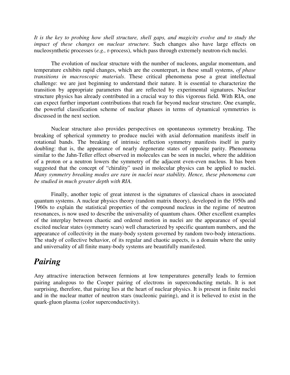*It is the key to probing how shell structure, shell gaps, and magicity evolve and to study the impact of these changes on nuclear structure.* Such changes also have large effects on nucleosynthetic processes (*e.g.,* r-process), which pass through extremely neutron-rich nuclei.

The evolution of nuclear structure with the number of nucleons, angular momentum, and temperature exhibits rapid changes, which are the counterpart, in these small systems, *of phase transitions in macroscopic materials*. These critical phenomena pose a great intellectual challenge: we are just beginning to understand their nature. It is essential to characterize the transition by appropriate parameters that are reflected by experimental signatures. Nuclear structure physics has already contributed in a crucial way to this vigorous field. With RIA, one can expect further important contributions that reach far beyond nuclear structure. One example, the powerful classification scheme of nuclear phases in terms of dynamical symmetries is discussed in the next section.

Nuclear structure also provides perspectives on spontaneous symmetry breaking. The breaking of spherical symmetry to produce nuclei with axial deformation manifests itself in rotational bands. The breaking of intrinsic reflection symmetry manifests itself in parity doubling: that is, the appearance of nearly degenerate states of opposite parity. Phenomena similar to the Jahn-Teller effect observed in molecules can be seen in nuclei, where the addition of a proton or a neutron lowers the symmetry of the adjacent even-even nucleus. It has been suggested that the concept of "chirality" used in molecular physics can be applied to nuclei. *Many symmetry breaking modes are rare in nuclei near stability. Hence, these phenomena can be studied in much greater depth with RIA.* 

Finally, another topic of great interest is the signatures of classical chaos in associated quantum systems. A nuclear physics theory (random matrix theory), developed in the 1950s and 1960s to explain the statistical properties of the compound nucleus in the regime of neutron resonances, is now used to describe the universality of quantum chaos. Other excellent examples of the interplay between chaotic and ordered motion in nuclei are the appearance of special excited nuclear states (symmetry scars) well characterized by specific quantum numbers, and the appearance of collectivity in the many-body system governed by random two-body interactions. The study of collective behavior, of its regular and chaotic aspects, is a domain where the unity and universality of all finite many-body systems are beautifully manifested.

### *Pairing*

Any attractive interaction between fermions at low temperatures generally leads to fermion pairing analogous to the Cooper pairing of electrons in superconducting metals. It is not surprising, therefore, that pairing lies at the heart of nuclear physics. It is present in finite nuclei and in the nuclear matter of neutron stars (nucleonic pairing), and it is believed to exist in the quark-gluon plasma (color superconductivity).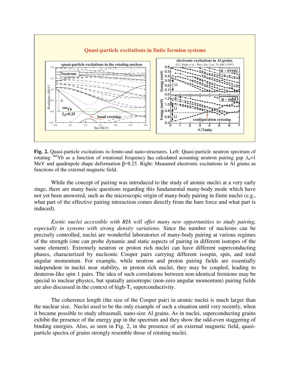

**Fig. 2.** Quasi-particle excitations in femto-and nano-structures. Left: Quasi-particle neutron spectrum of rotating <sup>160</sup>Yb as a function of rotational frequency ho calculated assuming neutron pairing gap  $\Delta_n=1$ MeV and quadrupole shape deformation  $\beta$ =0.25. Right: Measured electronic excitations in Al grains as functions of the external magnetic field.

While the concept of pairing was introduced to the study of atomic nuclei at a very early stage, there are many basic questions regarding this fundamental many-body mode which have not yet been answered, such as the microscopic origin of many-body pairing in finite nuclei (e.g., what part of the effective pairing interaction comes directly from the bare force and what part is induced).

*Exotic nuclei accessible with RIA will offer many new opportunities to study pairing, especially in systems with strong density variations.* Since the number of nucleons can be precisely controlled, nuclei are wonderful laboratories of many-body pairing at various regimes of the strength (one can probe dynamic and static aspects of pairing in different isotopes of the same element). Extremely neutron or proton rich nuclei can have different superconducting phases, characterized by nucleonic Cooper pairs carrying different isospin, spin, and total angular momentum. For example, while neutron and proton pairing fields are essentially independent in nuclei near stability, in proton rich nuclei, they may be coupled, leading to deuteron-like spin 1 pairs. The idea of such correlations between non-identical fermions may be special to nuclear physics, but spatially anisotropic (non-zero angular momentum) pairing fields are also discussed in the context of high- $T_c$  superconductivity.

The coherence length (the size of the Cooper pair) in atomic nuclei is much larger than the nuclear size. Nuclei used to be the only example of such a situation until very recently, when it became possible to study ultrasmall, nano-size Al grains. As in nuclei, superconducting grains exhibit the presence of the energy gap in the spectrum and they show the odd-even staggering of binding energies. Also, as seen in Fig. 2, in the presence of an external magnetic field, quasiparticle spectra of grains strongly resemble those of rotating nuclei.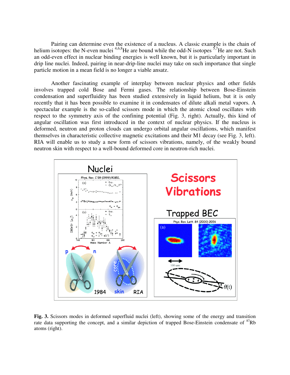Pairing can determine even the existence of a nucleus. A classic example is the chain of helium isotopes: the N-even nuclei  $4,6,8$ He are bound while the odd-N isotopes  $5,7$ He are not. Such an odd-even effect in nuclear binding energies is well known, but it is particularly important in drip line nuclei. Indeed, pairing in near-drip-line nuclei may take on such importance that single particle motion in a mean field is no longer a viable ansatz.

Another fascinating example of interplay between nuclear physics and other fields involves trapped cold Bose and Fermi gases. The relationship between Bose-Einstein condensation and superfluidity has been studied extensively in liquid helium, but it is only recently that it has been possible to examine it in condensates of dilute alkali metal vapors. A spectacular example is the so-called scissors mode in which the atomic cloud oscillates with respect to the symmetry axis of the confining potential (Fig. 3, right). Actually, this kind of angular oscillation was first introduced in the context of nuclear physics. If the nucleus is deformed, neutron and proton clouds can undergo orbital angular oscillations, which manifest themselves in characteristic collective magnetic excitations and their M1 decay (see Fig. 3, left). RIA will enable us to study a new form of scissors vibrations, namely, of the weakly bound neutron skin with respect to a well-bound deformed core in neutron-rich nuclei.



**Fig. 3.** Scissors modes in deformed superfluid nuclei (left), showing some of the energy and transition rate data supporting the concept, and a similar depiction of trapped Bose-Einstein condensate of  ${}^{87}Rb$ atoms (right).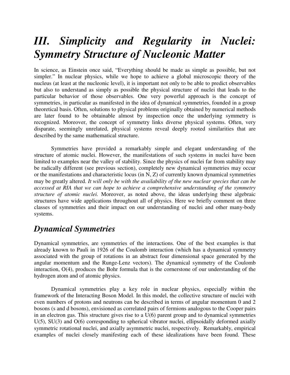# *III. Simplicity and Regularity in Nuclei: Symmetry Structure of Nucleonic Matter*

In science, as Einstein once said, "Everything should be made as simple as possible, but not simpler." In nuclear physics, while we hope to achieve a global microscopic theory of the nucleus (at least at the nucleonic level), it is important not only to be able to predict observables but also to understand as simply as possible the physical structure of nuclei that leads to the particular behavior of those observables. One very powerful approach is the concept of symmetries, in particular as manifested in the idea of dynamical symmetries, founded in a group theoretical basis. Often, solutions to physical problems originally obtained by numerical methods are later found to be obtainable almost by inspection once the underlying symmetry is recognized. Moreover, the concept of symmetry links diverse physical systems. Often, very disparate, seemingly unrelated, physical systems reveal deeply rooted similarities that are described by the same mathematical structure.

Symmetries have provided a remarkably simple and elegant understanding of the structure of atomic nuclei. However, the manifestations of such systems in nuclei have been limited to examples near the valley of stability. Since the physics of nuclei far from stability may be radically different (see previous section), completely new dynamical symmetries may occur or the manifestations and characteristic locus (in N, Z) of currently known dynamical symmetries may be greatly altered. *It will only be with the availability of the new nuclear species that can be accessed at RIA that we can hope to achieve a comprehensive understanding of the symmetry structure of atomic nuclei.* Moreover, as noted above, the ideas underlying these algebraic structures have wide applications throughout all of physics. Here we briefly comment on three classes of symmetries and their impact on our understanding of nuclei and other many-body systems.

### *Dynamical Symmetries*

Dynamical symmetries, are symmetries of the interactions. One of the best examples is that already known to Pauli in 1926 of the Coulomb interaction (which has a dynamical symmetry associated with the group of rotations in an abstract four dimensional space generated by the angular momentum and the Runge-Lenz vectors). The dynamical symmetry of the Coulomb interaction, O(4), produces the Bohr formula that is the cornerstone of our understanding of the hydrogen atom and of atomic physics.

Dynamical symmetries play a key role in nuclear physics, especially within the framework of the Interacting Boson Model. In this model, the collective structure of nuclei with even numbers of protons and neutrons can be described in terms of angular momentum 0 and 2 bosons (s and d bosons), envisioned as correlated pairs of fermions analogous to the Cooper pairs in an electron gas. This structure gives rise to a U(6) parent group and to dynamical symmetries  $U(5)$ ,  $SU(3)$  and  $O(6)$  corresponding to spherical vibrator nuclei, ellipsoidally deformed axially symmetric rotational nuclei, and axially asymmetric nuclei, respectively. Remarkably, empirical examples of nuclei closely manifesting each of these idealizations have been found. These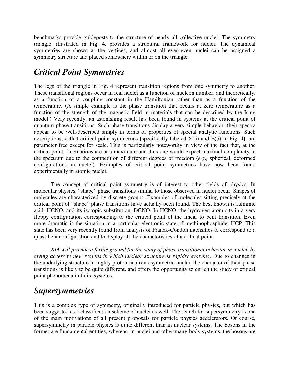benchmarks provide guideposts to the structure of nearly all collective nuclei. The symmetry triangle, illustrated in Fig. 4, provides a structural framework for nuclei. The dynamical symmetries are shown at the vertices, and almost all even-even nuclei can be assigned a symmetry structure and placed somewhere within or on the triangle.

### *Critical Point Symmetries*

The legs of the triangle in Fig. 4 represent transition regions from one symmetry to another. These transitional regions occur in real nuclei as a function of nucleon number, and theoretically, as a function of a coupling constant in the Hamiltonian rather than as a function of the temperature. (A simple example is the phase transition that occurs at zero temperature as a function of the strength of the magnetic field in materials that can be described by the Ising model.) Very recently, an astonishing result has been found in systems at the critical point of quantum phase transitions. Such phase transitions display a very simple behavior: their spectra appear to be well-described simply in terms of properties of special analytic functions. Such descriptions, called critical point symmetries [specifically labeled  $X(5)$  and  $E(5)$  in Fig. 4], are parameter free except for scale. This is particularly noteworthy in view of the fact that, at the critical point, fluctuations are at a maximum and thus one would expect maximal complexity in the spectrum due to the competition of different degrees of freedom (*e.g.,* spherical, deformed configurations in nuclei). Examples of critical point symmetries have now been found experimentally in atomic nuclei.

The concept of critical point symmetry is of interest to other fields of physics. In molecular physics, "shape" phase transitions similar to those observed in nuclei occur. Shapes of molecules are characterized by discrete groups. Examples of molecules sitting precisely at the critical point of "shape" phase transitions have actually been found. The best known is fulminic acid, HCNO, and its isotopic substitution, DCNO. In HCNO, the hydrogen atom sits in a very floppy configuration corresponding to the critical point of the linear to bent transition. Even more dramatic is the situation in a particular electronic state of methinophosphide, HCP. This state has been very recently found from analysis of Franck-Condon intensities to correspond to a quasi-bent configuration and to display all the characteristics of a critical point.

*RIA will provide a fertile ground for the study of phase transitional behavior in nuclei, by giving access to new regions in which nuclear structure is rapidly evolving.* Due to changes in the underlying structure in highly proton-neutron asymmetric nuclei, the character of their phase transitions is likely to be quite different, and offers the opportunity to enrich the study of critical point phenomena in finite systems.

### *Supersymmetries*

This is a complex type of symmetry, originally introduced for particle physics, but which has been suggested as a classification scheme of nuclei as well. The search for supersymmetry is one of the main motivations of all present proposals for particle physics accelerators. Of course, supersymmetry in particle physics is quite different than in nuclear systems. The bosons in the former are fundamental entities, whereas, in nuclei and other many-body systems, the bosons are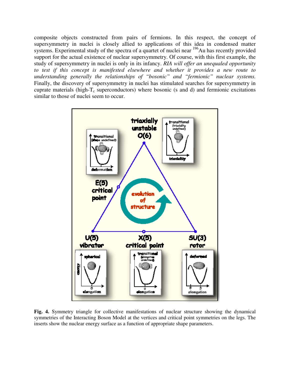composite objects constructed from pairs of fermions. In this respect, the concept of supersymmetry in nuclei is closely allied to applications of this idea in condensed matter systems. Experimental study of the spectra of a quartet of nuclei near <sup>196</sup>Au has recently provided support for the actual existence of nuclear supersymmetry. Of course, with this first example, the study of supersymmetry in nuclei is only in its infancy. *RIA will offer an unequaled opportunity to test if this concept is manifested elsewhere and whether it provides a new route to understanding generally the relationships of "bosonic" and "fermionic" nuclear systems.* Finally, the discovery of supersymmetry in nuclei has stimulated searches for supersymmetry in cuprate materials (high- $T_c$  superconductors) where bosonic (s and d) and fermionic excitations similar to those of nuclei seem to occur.



**Fig. 4.** Symmetry triangle for collective manifestations of nuclear structure showing the dynamical symmetries of the Interacting Boson Model at the vertices and critical point symmetries on the legs. The inserts show the nuclear energy surface as a function of appropriate shape parameters.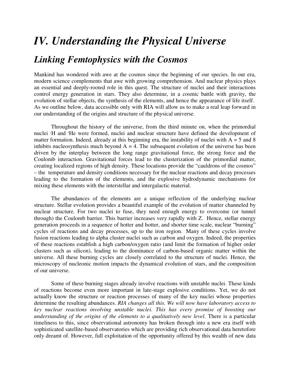# *IV. Understanding the Physical Universe*

### *Linking Femtophysics with the Cosmos*

Mankind has wondered with awe at the cosmos since the beginning of our species. In our era, modern science complements that awe with growing comprehension. And nuclear physics plays an essential and deeply-rooted role in this quest. The structure of nuclei and their interactions control energy generation in stars. They also determine, in a cosmic battle with gravity, the evolution of stellar objects, the synthesis of the elements, and hence the appearance of life itself. As we outline below, data accessible only with RIA will allow us to make a real leap forward in our understanding of the origins and structure of the physical universe.

Throughout the history of the universe, from the third minute on, when the primordial nuclei <sup>1</sup>H and <sup>4</sup>He were formed, nuclei and nuclear structure have defined the development of matter formation. Indeed, already at this beginning era, the instability of nuclei with  $A = 5$  and 8 inhibits nucleosynthesis much beyond  $A = 4$ . The subsequent evolution of the universe has been driven by the interplay between the long range gravitational force, the strong force and the Coulomb interaction. Gravitational forces lead to the clusterization of the primordial matter, creating localized regions of high density. These locations provide the "cauldrons of the cosmos" – the temperature and density conditions necessary for the nuclear reactions and decay processes leading to the formation of the elements, and the explosive hydrodynamic mechanisms for mixing these elements with the interstellar and intergalactic material.

The abundances of the elements are a unique reflection of the underlying nuclear structure. Stellar evolution provides a beautiful example of the evolution of matter channeled by nuclear structure. For two nuclei to fuse, they need enough energy to overcome (or tunnel through) the Coulomb barrier. This barrier increases very rapidly with Z. Hence, stellar energy generation proceeds in a sequence of hotter and hotter, and shorter time scale, nuclear "burning" cycles of reactions and decay processes, up to the iron region. Many of these cycles involve fusion reactions leading to alpha cluster nuclei such as carbon and oxygen. Indeed, the properties of these reactions establish a high carbon/oxygen ratio (and limit the formation of higher order clusters such as silicon), leading to the dominance of carbon-based organic matter within the universe. All these burning cycles are closely correlated to the structure of nuclei. Hence, the microscopy of nucleonic motion impacts the dynamical evolution of stars, and the composition of our universe.

Some of these burning stages already involve reactions with unstable nuclei. These kinds of reactions become even more important in late-stage explosive conditions. Yet, we do not actually know the structure or reaction processes of many of the key nuclei whose properties determine the resulting abundances. *RIA changes all this. We will now have laboratory access to key nuclear reactions involving unstable nuclei. This has every promise of boosting our understanding of the origins of the elements to a qualitatively new level. There is a particular* timeliness to this, since observational astronomy has broken through into a new era itself with sophisticated satellite-based observatories which are providing rich observational data heretofore only dreamt of. However, full exploitation of the opportunity offered by this wealth of new data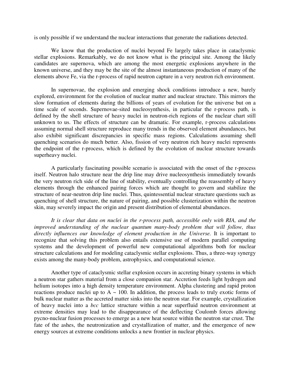is only possible if we understand the nuclear interactions that generate the radiations detected.

We know that the production of nuclei beyond Fe largely takes place in cataclysmic stellar explosions. Remarkably, we do not know what is the principal site. Among the likely candidates are supernova, which are among the most energetic explosions anywhere in the known universe, and they may be the site of the almost instantaneous production of many of the elements above Fe, via the r-process of rapid neutron capture in a very neutron rich environment.

In supernovae, the explosion and emerging shock conditions introduce a new, barely explored, environment for the evolution of nuclear matter and nuclear structure. This mirrors the slow formation of elements during the billions of years of evolution for the universe but on a time scale of seconds. Supernovae-sited nucleosynthesis, in particular the r-process path, is defined by the shell structure of heavy nuclei in neutron-rich regions of the nuclear chart still unknown to us. The effects of structure can be dramatic. For example, r-process calculations assuming normal shell structure reproduce many trends in the observed element abundances, but also exhibit significant discrepancies in specific mass regions. Calculations assuming shell quenching scenarios do much better. Also, fission of very neutron rich heavy nuclei represents the endpoint of the r-process, which is defined by the evolution of nuclear structure towards superheavy nuclei.

A particularly fascinating possible scenario is associated with the onset of the r-process itself. Neutron halo structure near the drip line may drive nucleosynthesis immediately towards the very neutron rich side of the line of stability, eventually controlling the reassembly of heavy elements through the enhanced pairing forces which are thought to govern and stabilize the structure of near-neutron drip line nuclei. Thus, quintessential nuclear structure questions such as quenching of shell structure, the nature of pairing, and possible clusterization within the neutron skin, may severely impact the origin and present distribution of elemental abundances.

*It is clear that data on nuclei in the r-process path, accessible only with RIA, and the improved understanding of the nuclear quantum many-body problem that will follow, thus directly influences our knowledge of element production in the Universe.* It is important to recognize that solving this problem also entails extensive use of modern parallel computing systems and the development of powerful new computational algorithms both for nuclear structure calculations and for modeling cataclysmic stellar explosions. Thus, a three-way synergy exists among the many-body problem, astrophysics, and computational science.

Another type of cataclysmic stellar explosion occurs in accreting binary systems in which a neutron star gathers material from a close companion star. Accretion feeds light hydrogen and helium isotopes into a high density temperature environment. Alpha clustering and rapid proton reactions produce nuclei up to  $A \sim 100$ . In addition, the process leads to truly exotic forms of bulk nuclear matter as the accreted matter sinks into the neutron star. For example, crystallization of heavy nuclei into a *bcc* lattice structure within a near superfluid neutron environment at extreme densities may lead to the disappearance of the deflecting Coulomb forces allowing pycno-nuclear fusion processes to emerge as a new heat source within the neutron star crust. The fate of the ashes, the neutronization and crystallization of matter, and the emergence of new energy sources at extreme conditions unlocks a new frontier in nuclear physics.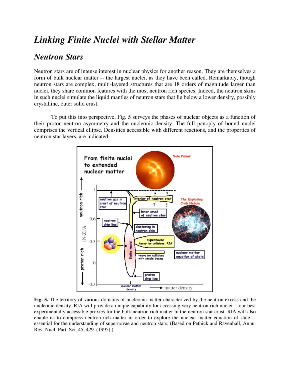### *Linking Finite Nuclei with Stellar Matter*

### *Neutron Stars*

Neutron stars are of intense interest in nuclear physics for another reason. They are themselves a form of bulk nuclear matter -- the largest nuclei, as they have been called. Remarkably, though neutron stars are complex, multi-layered structures that are 18 orders of magnitude larger than nuclei, they share common features with the most neutron rich species. Indeed, the neutron skins in such nuclei simulate the liquid mantles of neutron stars that lie below a lower density, possibly crystalline, outer solid crust.

To put this into perspective, Fig. 5 surveys the phases of nuclear objects as a function of their proton-neutron asymmetry and the nucleonic density. The full panoply of bound nuclei comprises the vertical ellipse. Densities accessible with different reactions, and the properties of neutron star layers, are indicated.



**Fig. 5.** The territory of various domains of nucleonic matter characterized by the neutron excess and the nucleonic density. RIA will provide a unique capability for accessing very neutron-rich nuclei -- our best experimentally accessible proxies for the bulk neutron rich matter in the neutron star crust. RIA will also enable us to compress neutron-rich matter in order to explore the nuclear matter equation of state - essential for the understanding of supernovae and neutron stars. (Based on Pethick and Ravenhall, Annu. Rev. Nucl. Part. Sci. 45, 429 (1995).)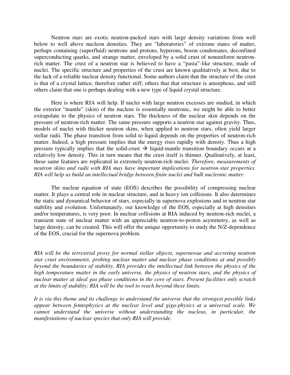Neutron stars are exotic neutron-packed stars with large density variations from well below to well above nucleon densities. They are "laboratories" of extreme states of matter, perhaps containing (superfluid) neutrons and protons, hyperons, boson condensates, deconfined superconducting quarks, and strange matter, enveloped by a solid crust of nonuniform neutronrich matter. The crust of a neutron star is believed to have a "pasta"-like structure, made of nuclei. The specific structure and properties of the crust are known qualitatively at best, due to the lack of a reliable nuclear density functional. Some authors claim that the structure of the crust is that of a crystal lattice, therefore rather stiff, others that that structure is amorphous, and still others claim that one is perhaps dealing with a new type of liquid crystal structure.

Here is where RIA will help. If nuclei with large neutron excesses are studied, in which the exterior "mantle" (skin) of the nucleus is essentially neutronic, we might be able to better extrapolate to the physics of neutron stars. The thickness of the nuclear skin depends on the pressure of neutron-rich matter. The same pressure supports a neutron star against gravity. Thus, models of nuclei with thicker neutron skins, when applied to neutron stars, often yield larger stellar radii. The phase transition from solid to liquid depends on the properties of neutron-rich matter. Indeed, a high pressure implies that the energy rises rapidly with density. Thus a high pressure typically implies that the solid-crust  $\rightarrow$  liquid-mantle transition boundary occurs at a relatively low density. This in turn means that the crust itself is thinner. Qualitatively, at least, these same features are replicated in extremely neutron-rich nuclei. *Therefore, measurements of neutron skins and radii with RIA may have important implications for neutron-star properties. RIA will help us build an intellectual bridge between finite nuclei and bulk nucleonic matter.*

The nuclear equation of state (EOS) describes the possibility of compressing nuclear matter. It plays a central role in nuclear structure, and in heavy ion collisions. It also determines the static and dynamical behavior of stars, especially in supernova explosions and in neutron star stability and evolution. Unfortunately, our knowledge of the EOS, especially at high densities and/or temperatures, is very poor. In nuclear collisions at RIA induced by neutron-rich nuclei, a transient state of nuclear matter with an appreciable neutron-to-proton asymmetry, as well as large density, can be created. This will offer the unique opportunity to study the N/Z-dependence of the EOS, crucial for the supernova problem.

*RIA will be the terrestrial proxy for normal stellar objects, supernovae and accreting neutron star crust environments, probing nuclear matter and nuclear phase conditions at and possibly beyond the boundaries of stability. RIA provides the intellectual link between the physics of the high temperature matter in the early universe, the physics of neutron stars, and the physics of nuclear matter at ideal gas phase conditions in the core of stars. Present facilities only scratch at the limits of stability; RIA will be the tool to reach beyond these limits.* 

*It is via this theme and its challenge to understand the universe that the strongest possible links appear between femtophysics at the nuclear level and giga-physics at a universal scale. We cannot understand the universe without understanding the nucleus, in particular, the manifestations of nuclear species that only RIA will provide.*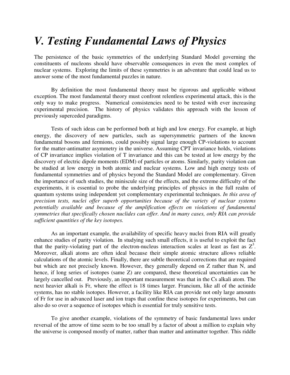### *V. Testing Fundamental Laws of Physics*

The persistence of the basic symmetries of the underlying Standard Model governing the constituents of nucleons should have observable consequences in even the most complex of nuclear systems. Exploring the limits of these symmetries is an adventure that could lead us to answer some of the most fundamental puzzles in nature.

 By definition the most fundamental theory must be rigorous and applicable without exception. The most fundamental theory must confront relentless experimental attack, this is the only way to make progress. Numerical consistencies need to be tested with ever increasing experimental precision. The history of physics validates this approach with the lesson of previously superceded paradigms.

Tests of such ideas can be performed both at high and low energy. For example, at high energy, the discovery of new particles, such as supersymmetric partners of the known fundamental bosons and fermions, could possibly signal large enough CP-violations to account for the matter-antimatter asymmetry in the universe. Assuming CPT invariance holds, violations of CP invariance implies violation of T invariance and this can be tested at low energy by the discovery of electric dipole moments (EDM) of particles or atoms. Similarly, parity violation can be studied at low energy in both atomic and nuclear systems. Low and high energy tests of fundamental symmetries and of physics beyond the Standard Model are complementary. Given the importance of such studies, the miniscule size of the effects, and the extreme difficulty of the experiments, it is essential to probe the underlying principles of physics in the full realm of quantum systems using independent yet complementary experimental techniques. *In this area of precision tests, nuclei offer superb opportunities because of the variety of nuclear systems potentially available and because of the amplification effects on violations of fundamental symmetries that specifically chosen nuclides can offer. And in many cases, only RIA can provide sufficient quantities of the key isotopes.*

As an important example, the availability of specific heavy nuclei from RIA will greatly enhance studies of parity violation. In studying such small effects, it is useful to exploit the fact that the parity-violating part of the electron-nucleus interaction scales at least as fast as  $Z^3$ . Moreover, alkali atoms are often ideal because their simple atomic structure allows reliable calculations of the atomic levels. Finally, there are subtle theoretical corrections that are required but which are not precisely known. However, they generally depend on Z rather than N, and hence, if long series of isotopes (same Z) are compared, these theoretical uncertainties can be largely cancelled out. Previously, an important measurement was that in the Cs alkali atom. The next heavier alkali is Fr, where the effect is 18 times larger. Francium, like all of the actinide systems, has no stable isotopes. However, a facility like RIA can provide not only large amounts of Fr for use in advanced laser and ion traps that confine these isotopes for experiments, but can also do so over a sequence of isotopes which is essential for truly sensitive tests.

To give another example, violations of the symmetry of basic fundamental laws under reversal of the arrow of time seem to be too small by a factor of about a million to explain why the universe is composed mostly of matter, rather than matter and antimatter together. This riddle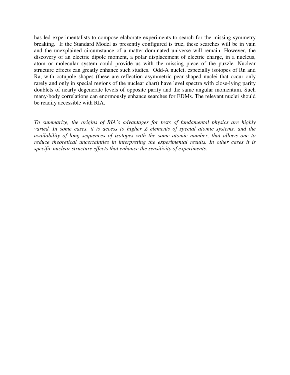has led experimentalists to compose elaborate experiments to search for the missing symmetry breaking. If the Standard Model as presently configured is true, these searches will be in vain and the unexplained circumstance of a matter-dominated universe will remain. However, the discovery of an electric dipole moment, a polar displacement of electric charge, in a nucleus, atom or molecular system could provide us with the missing piece of the puzzle. Nuclear structure effects can greatly enhance such studies. Odd-A nuclei, especially isotopes of Rn and Ra, with octupole shapes (these are reflection asymmetric pear-shaped nuclei that occur only rarely and only in special regions of the nuclear chart) have level spectra with close-lying parity doublets of nearly degenerate levels of opposite parity and the same angular momentum. Such many-body correlations can enormously enhance searches for EDMs. The relevant nuclei should be readily accessible with RIA.

*To summarize, the origins of RIA's advantages for tests of fundamental physics are highly varied. In some cases, it is access to higher Z elements of special atomic systems, and the availability of long sequences of isotopes with the same atomic number, that allows one to reduce theoretical uncertainties in interpreting the experimental results. In other cases it is specific nuclear structure effects that enhance the sensitivity of experiments.*